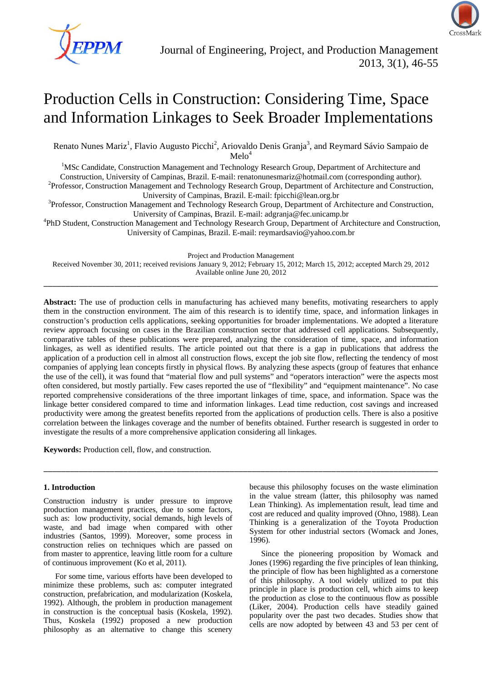

# Production Cells in Construction: Considering Time, Space and Information Linkages to Seek Broader Implementations

Renato Nunes Mariz<sup>1</sup>, Flavio Augusto Picchi<sup>2</sup>, Ariovaldo Denis Granja<sup>3</sup>, and Reymard Sávio Sampaio de  $Melo<sup>4</sup>$ 

Melo<sup>4</sup><br><sup>1</sup>MSc Candidate, Construction Management and Technology Research Group, Department of Architecture and

Construction, University of Campinas, Brazil. E-mail: renatonunesmariz@hotmail.com (corresponding author). 2 <sup>2</sup>Professor, Construction Management and Technology Research Group, Department of Architecture and Construction,

University of Campinas, Brazil. E-mail: fpicchi@lean.org.br<br><sup>3</sup>Professor, Construction Management and Technology Research Group, Department of Architecture and Construction, University of Campinas, Brazil. E-mail: adgranja@fec.unicamp.br 4

PhD Student, Construction Management and Technology Research Group, Department of Architecture and Construction, University of Campinas, Brazil. E-mail: reymardsavio@yahoo.com.br

Project and Production Management

Received November 30, 2011; received revisions January 9, 2012; February 15, 2012; March 15, 2012; accepted March 29, 2012 Available online June 20, 2012 \_\_\_\_\_\_\_\_\_\_\_\_\_\_\_\_\_\_\_\_\_\_\_\_\_\_\_\_\_\_\_\_\_\_\_\_\_\_\_\_\_\_\_\_\_\_\_\_\_\_\_\_\_\_\_\_\_\_\_\_\_\_\_\_\_\_\_\_\_\_\_\_\_\_\_\_\_\_\_\_\_\_\_\_\_\_\_\_\_

**Abstract:** The use of production cells in manufacturing has achieved many benefits, motivating researchers to apply them in the construction environment. The aim of this research is to identify time, space, and information linkages in construction's production cells applications, seeking opportunities for broader implementations. We adopted a literature review approach focusing on cases in the Brazilian construction sector that addressed cell applications. Subsequently, comparative tables of these publications were prepared, analyzing the consideration of time, space, and information linkages, as well as identified results. The article pointed out that there is a gap in publications that address the application of a production cell in almost all construction flows, except the job site flow, reflecting the tendency of most companies of applying lean concepts firstly in physical flows. By analyzing these aspects (group of features that enhance the use of the cell), it was found that "material flow and pull systems" and "operators interaction" were the aspects most often considered, but mostly partially. Few cases reported the use of "flexibility" and "equipment maintenance". No case reported comprehensive considerations of the three important linkages of time, space, and information. Space was the linkage better considered compared to time and information linkages. Lead time reduction, cost savings and increased productivity were among the greatest benefits reported from the applications of production cells. There is also a positive correlation between the linkages coverage and the number of benefits obtained. Further research is suggested in order to investigate the results of a more comprehensive application considering all linkages.

\_\_\_\_\_\_\_\_\_\_\_\_\_\_\_\_\_\_\_\_\_\_\_\_\_\_\_\_\_\_\_\_\_\_\_\_\_\_\_\_\_\_\_\_\_\_\_\_\_\_\_\_\_\_\_\_\_\_\_\_\_\_\_\_\_\_\_\_\_\_\_\_\_\_\_\_\_\_\_\_\_\_\_\_\_\_\_\_\_

**Keywords:** Production cell, flow, and construction.

# **1. Introduction**

Construction industry is under pressure to improve production management practices, due to some factors, such as: low productivity, social demands, high levels of waste, and bad image when compared with other industries (Santos, 1999). Moreover, some process in construction relies on techniques which are passed on from master to apprentice, leaving little room for a culture of continuous improvement (Ko et al, 2011).

For some time, various efforts have been developed to minimize these problems, such as: computer integrated construction, prefabrication, and modularization (Koskela, 1992). Although, the problem in production management in construction is the conceptual basis (Koskela, 1992). Thus, Koskela (1992) proposed a new production philosophy as an alternative to change this scenery

because this philosophy focuses on the waste elimination in the value stream (latter, this philosophy was named Lean Thinking). As implementation result, lead time and cost are reduced and quality improved (Ohno, 1988). Lean Thinking is a generalization of the Toyota Production System for other industrial sectors (Womack and Jones, 1996).

Since the pioneering proposition by Womack and Jones (1996) regarding the five principles of lean thinking, the principle of flow has been highlighted as a cornerstone of this philosophy. A tool widely utilized to put this principle in place is production cell, which aims to keep the production as close to the continuous flow as possible (Liker, 2004). Production cells have steadily gained popularity over the past two decades. Studies show that cells are now adopted by between 43 and 53 per cent of

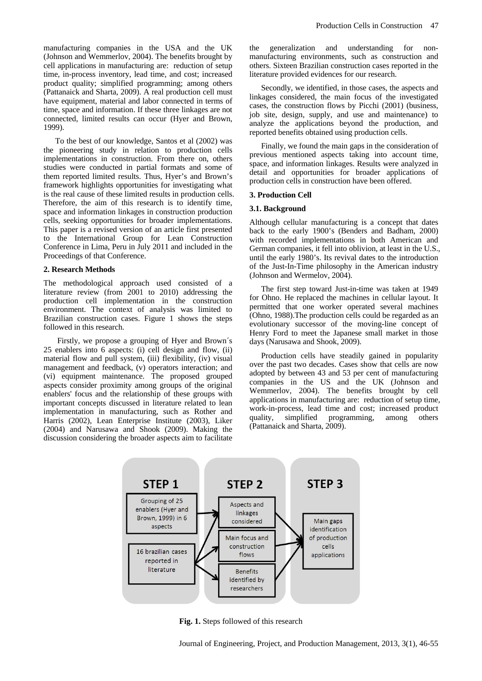manufacturing companies in the USA and the UK (Johnson and Wemmerlov, 2004). The benefits brought by cell applications in manufacturing are: reduction of setup time, in-process inventory, lead time, and cost; increased product quality; simplified programming; among others (Pattanaick and Sharta, 2009). A real production cell must have equipment, material and labor connected in terms of time, space and information. If these three linkages are not connected, limited results can occur (Hyer and Brown, 1999).

To the best of our knowledge, Santos et al (2002) was the pioneering study in relation to production cells implementations in construction. From there on, others studies were conducted in partial formats and some of them reported limited results. Thus, Hyer's and Brown's framework highlights opportunities for investigating what is the real cause of these limited results in production cells. Therefore, the aim of this research is to identify time, space and information linkages in construction production cells, seeking opportunities for broader implementations. This paper is a revised version of an article first presented to the International Group for Lean Construction Conference in Lima, Peru in July 2011 and included in the Proceedings of that Conference.

#### **2. Research Methods**

The methodological approach used consisted of a literature review (from 2001 to 2010) addressing the production cell implementation in the construction environment. The context of analysis was limited to Brazilian construction cases. Figure 1 shows the steps followed in this research.

 Firstly, we propose a grouping of Hyer and Brown´s 25 enablers into 6 aspects: (i) cell design and flow, (ii) material flow and pull system, (iii) flexibility, (iv) visual management and feedback, (v) operators interaction; and (vi) equipment maintenance. The proposed grouped aspects consider proximity among groups of the original enablers' focus and the relationship of these groups with important concepts discussed in literature related to lean implementation in manufacturing, such as Rother and Harris (2002), Lean Enterprise Institute (2003), Liker (2004) and Narusawa and Shook (2009). Making the discussion considering the broader aspects aim to facilitate

the generalization and understanding for nonmanufacturing environments, such as construction and others. Sixteen Brazilian construction cases reported in the literature provided evidences for our research.

Secondly, we identified, in those cases, the aspects and linkages considered, the main focus of the investigated cases, the construction flows by Picchi (2001) (business, job site, design, supply, and use and maintenance) to analyze the applications beyond the production, and reported benefits obtained using production cells.

Finally, we found the main gaps in the consideration of previous mentioned aspects taking into account time, space, and information linkages. Results were analyzed in detail and opportunities for broader applications of production cells in construction have been offered.

#### **3. Production Cell**

## **3.1. Background**

Although cellular manufacturing is a concept that dates back to the early 1900's (Benders and Badham, 2000) with recorded implementations in both American and German companies, it fell into oblivion, at least in the U.S., until the early 1980's. Its revival dates to the introduction of the Just-In-Time philosophy in the American industry (Johnson and Wermelov, 2004).

The first step toward Just-in-time was taken at 1949 for Ohno. He replaced the machines in cellular layout. It permitted that one worker operated several machines (Ohno, 1988).The production cells could be regarded as an evolutionary successor of the moving-line concept of Henry Ford to meet the Japanese small market in those days (Narusawa and Shook, 2009).

Production cells have steadily gained in popularity over the past two decades. Cases show that cells are now adopted by between 43 and 53 per cent of manufacturing companies in the US and the UK (Johnson and Wemmerlov, 2004). The benefits brought by cell applications in manufacturing are: reduction of setup time, work-in-process, lead time and cost; increased product quality, simplified programming, among others (Pattanaick and Sharta, 2009).



**Fig. 1.** Steps followed of this research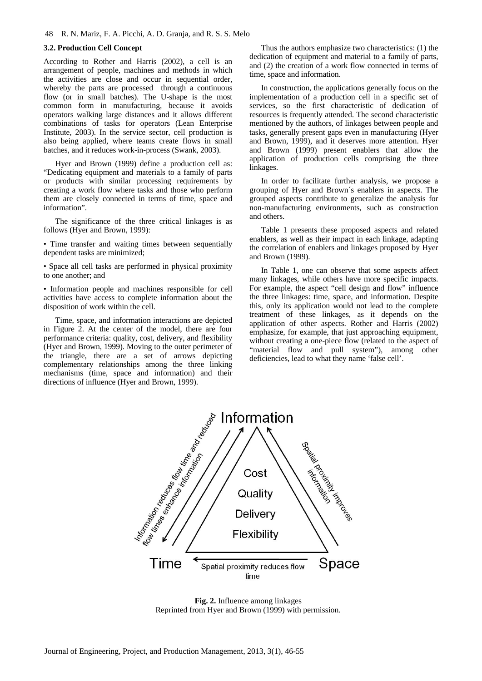## **3.2. Production Cell Concept**

According to Rother and Harris (2002), a cell is an arrangement of people, machines and methods in which the activities are close and occur in sequential order, whereby the parts are processed through a continuous flow (or in small batches). The U-shape is the most common form in manufacturing, because it avoids operators walking large distances and it allows different combinations of tasks for operators (Lean Enterprise Institute, 2003). In the service sector, cell production is also being applied, where teams create flows in small batches, and it reduces work-in-process (Swank, 2003).

Hyer and Brown (1999) define a production cell as: "Dedicating equipment and materials to a family of parts or products with similar processing requirements by creating a work flow where tasks and those who perform them are closely connected in terms of time, space and information".

The significance of the three critical linkages is as follows (Hyer and Brown, 1999):

• Time transfer and waiting times between sequentially dependent tasks are minimized;

• Space all cell tasks are performed in physical proximity to one another; and

• Information people and machines responsible for cell activities have access to complete information about the disposition of work within the cell.

Time, space, and information interactions are depicted in Figure 2. At the center of the model, there are four performance criteria: quality, cost, delivery, and flexibility (Hyer and Brown, 1999). Moving to the outer perimeter of the triangle, there are a set of arrows depicting complementary relationships among the three linking mechanisms (time, space and information) and their directions of influence (Hyer and Brown, 1999).

Thus the authors emphasize two characteristics: (1) the dedication of equipment and material to a family of parts, and (2) the creation of a work flow connected in terms of time, space and information.

In construction, the applications generally focus on the implementation of a production cell in a specific set of services, so the first characteristic of dedication of resources is frequently attended. The second characteristic mentioned by the authors, of linkages between people and tasks, generally present gaps even in manufacturing (Hyer and Brown, 1999), and it deserves more attention. Hyer and Brown (1999) present enablers that allow the application of production cells comprising the three linkages.

In order to facilitate further analysis, we propose a grouping of Hyer and Brown´s enablers in aspects. The grouped aspects contribute to generalize the analysis for non-manufacturing environments, such as construction and others.

Table 1 presents these proposed aspects and related enablers, as well as their impact in each linkage, adapting the correlation of enablers and linkages proposed by Hyer and Brown (1999).

In Table 1, one can observe that some aspects affect many linkages, while others have more specific impacts. For example, the aspect "cell design and flow" influence the three linkages: time, space, and information. Despite this, only its application would not lead to the complete treatment of these linkages, as it depends on the application of other aspects. Rother and Harris (2002) emphasize, for example, that just approaching equipment, without creating a one-piece flow (related to the aspect of "material flow and pull system"), among other deficiencies, lead to what they name 'false cell'.



**Fig. 2.** Influence among linkages Reprinted from Hyer and Brown (1999) with permission.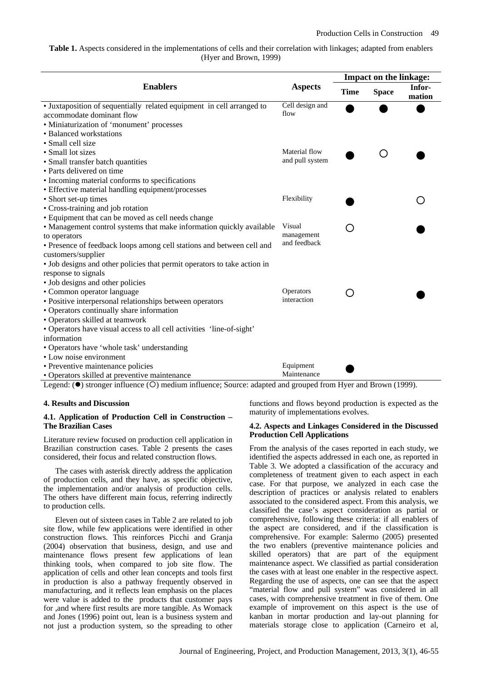# **Table 1.** Aspects considered in the implementations of cells and their correlation with linkages; adapted from enablers (Hyer and Brown, 1999)

|                                                                                                    |                         | <b>Impact on the linkage:</b> |              |                  |  |  |  |
|----------------------------------------------------------------------------------------------------|-------------------------|-------------------------------|--------------|------------------|--|--|--|
| <b>Enablers</b>                                                                                    | <b>Aspects</b>          | <b>Time</b>                   | <b>Space</b> | Infor-<br>mation |  |  |  |
| • Juxtaposition of sequentially related equipment in cell arranged to<br>accommodate dominant flow | Cell design and<br>flow |                               |              |                  |  |  |  |
| · Miniaturization of 'monument' processes                                                          |                         |                               |              |                  |  |  |  |
| • Balanced workstations                                                                            |                         |                               |              |                  |  |  |  |
| • Small cell size                                                                                  |                         |                               |              |                  |  |  |  |
| • Small lot sizes                                                                                  | Material flow           |                               |              |                  |  |  |  |
| • Small transfer batch quantities                                                                  | and pull system         |                               |              |                  |  |  |  |
| • Parts delivered on time                                                                          |                         |                               |              |                  |  |  |  |
| • Incoming material conforms to specifications                                                     |                         |                               |              |                  |  |  |  |
| • Effective material handling equipment/processes                                                  |                         |                               |              |                  |  |  |  |
| • Short set-up times                                                                               | Flexibility             |                               |              |                  |  |  |  |
| • Cross-training and job rotation                                                                  |                         |                               |              |                  |  |  |  |
| • Equipment that can be moved as cell needs change                                                 |                         |                               |              |                  |  |  |  |
| • Management control systems that make information quickly available                               | Visual                  |                               |              |                  |  |  |  |
| to operators                                                                                       | management              |                               |              |                  |  |  |  |
| • Presence of feedback loops among cell stations and between cell and                              | and feedback            |                               |              |                  |  |  |  |
| customers/supplier                                                                                 |                         |                               |              |                  |  |  |  |
| • Job designs and other policies that permit operators to take action in                           |                         |                               |              |                  |  |  |  |
| response to signals                                                                                |                         |                               |              |                  |  |  |  |
| • Job designs and other policies                                                                   |                         |                               |              |                  |  |  |  |
| • Common operator language                                                                         | Operators               |                               |              |                  |  |  |  |
| • Positive interpersonal relationships between operators                                           | interaction             |                               |              |                  |  |  |  |
| • Operators continually share information                                                          |                         |                               |              |                  |  |  |  |
| • Operators skilled at teamwork                                                                    |                         |                               |              |                  |  |  |  |
| • Operators have visual access to all cell activities 'line-of-sight'                              |                         |                               |              |                  |  |  |  |
| information                                                                                        |                         |                               |              |                  |  |  |  |
| • Operators have 'whole task' understanding                                                        |                         |                               |              |                  |  |  |  |
| • Low noise environment                                                                            |                         |                               |              |                  |  |  |  |
| • Preventive maintenance policies                                                                  | Equipment               |                               |              |                  |  |  |  |
| • Operators skilled at preventive maintenance                                                      | Maintenance             |                               |              |                  |  |  |  |

Legend: ( $\bullet$ ) stronger influence (O) medium influence; Source: adapted and grouped from Hyer and Brown (1999).

## **4. Results and Discussion**

## **4.1. Application of Production Cell in Construction – The Brazilian Cases**

Literature review focused on production cell application in Brazilian construction cases. Table 2 presents the cases considered, their focus and related construction flows.

The cases with asterisk directly address the application of production cells, and they have, as specific objective, the implementation and/or analysis of production cells. The others have different main focus, referring indirectly to production cells.

Eleven out of sixteen cases in Table 2 are related to job site flow, while few applications were identified in other construction flows. This reinforces Picchi and Granja (2004) observation that business, design, and use and maintenance flows present few applications of lean thinking tools, when compared to job site flow. The application of cells and other lean concepts and tools first in production is also a pathway frequently observed in manufacturing, and it reflects lean emphasis on the places were value is added to the products that customer pays for ,and where first results are more tangible. As Womack and Jones (1996) point out, lean is a business system and not just a production system, so the spreading to other functions and flows beyond production is expected as the maturity of implementations evolves.

#### **4.2. Aspects and Linkages Considered in the Discussed Production Cell Applications**

From the analysis of the cases reported in each study, we identified the aspects addressed in each one, as reported in Table 3. We adopted a classification of the accuracy and completeness of treatment given to each aspect in each case. For that purpose, we analyzed in each case the description of practices or analysis related to enablers associated to the considered aspect. From this analysis, we classified the case's aspect consideration as partial or comprehensive, following these criteria: if all enablers of the aspect are considered, and if the classification is comprehensive. For example: Salermo (2005) presented the two enablers (preventive maintenance policies and skilled operators) that are part of the equipment maintenance aspect. We classified as partial consideration the cases with at least one enabler in the respective aspect. Regarding the use of aspects, one can see that the aspect "material flow and pull system" was considered in all cases, with comprehensive treatment in five of them. One example of improvement on this aspect is the use of kanban in mortar production and lay-out planning for materials storage close to application (Carneiro et al,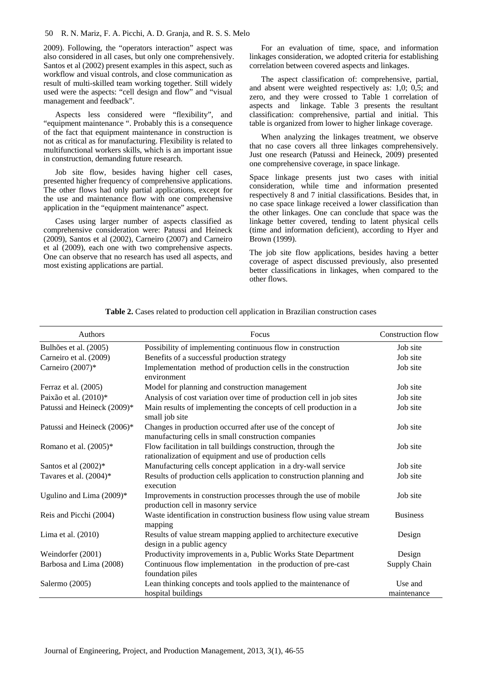#### 50 R. N. Mariz, F. A. Picchi, A. D. Granja, and R. S. S. Melo

2009). Following, the "operators interaction" aspect was also considered in all cases, but only one comprehensively. Santos et al (2002) present examples in this aspect, such as workflow and visual controls, and close communication as result of multi-skilled team working together. Still widely used were the aspects: "cell design and flow" and "visual management and feedback".

Aspects less considered were "flexibility", and "equipment maintenance ". Probably this is a consequence of the fact that equipment maintenance in construction is not as critical as for manufacturing. Flexibility is related to multifunctional workers skills, which is an important issue in construction, demanding future research.

Job site flow, besides having higher cell cases, presented higher frequency of comprehensive applications. The other flows had only partial applications, except for the use and maintenance flow with one comprehensive application in the "equipment maintenance" aspect.

Cases using larger number of aspects classified as comprehensive consideration were: Patussi and Heineck (2009), Santos et al (2002), Carneiro (2007) and Carneiro et al (2009), each one with two comprehensive aspects. One can observe that no research has used all aspects, and most existing applications are partial.

For an evaluation of time, space, and information linkages consideration, we adopted criteria for establishing correlation between covered aspects and linkages.

The aspect classification of: comprehensive, partial, and absent were weighted respectively as: 1,0; 0,5; and zero, and they were crossed to Table 1 correlation of aspects and linkage. Table 3 presents the resultant classification: comprehensive, partial and initial. This table is organized from lower to higher linkage coverage.

When analyzing the linkages treatment, we observe that no case covers all three linkages comprehensively. Just one research (Patussi and Heineck, 2009) presented one comprehensive coverage, in space linkage.

Space linkage presents just two cases with initial consideration, while time and information presented respectively 8 and 7 initial classifications. Besides that, in no case space linkage received a lower classification than the other linkages. One can conclude that space was the linkage better covered, tending to latent physical cells (time and information deficient), according to Hyer and Brown (1999).

The job site flow applications, besides having a better coverage of aspect discussed previously, also presented better classifications in linkages, when compared to the other flows.

| Authors                     | Focus                                                                                                                     | <b>Construction flow</b> |
|-----------------------------|---------------------------------------------------------------------------------------------------------------------------|--------------------------|
| Bulhões et al. (2005)       | Possibility of implementing continuous flow in construction                                                               | Job site                 |
| Carneiro et al. (2009)      | Benefits of a successful production strategy                                                                              | Job site                 |
| Carneiro (2007)*            | Implementation method of production cells in the construction<br>environment                                              | Job site                 |
| Ferraz et al. (2005)        | Model for planning and construction management                                                                            | Job site                 |
| Paixão et al. (2010)*       | Analysis of cost variation over time of production cell in job sites                                                      | Job site                 |
| Patussi and Heineck (2009)* | Main results of implementing the concepts of cell production in a<br>small job site                                       | Job site                 |
| Patussi and Heineck (2006)* | Changes in production occurred after use of the concept of<br>manufacturing cells in small construction companies         | Job site                 |
| Romano et al. (2005)*       | Flow facilitation in tall buildings construction, through the<br>rationalization of equipment and use of production cells | Job site                 |
| Santos et al (2002)*        | Manufacturing cells concept application in a dry-wall service                                                             | Job site                 |
| Tavares et al. $(2004)*$    | Results of production cells application to construction planning and<br>execution                                         | Job site                 |
| Ugulino and Lima (2009)*    | Improvements in construction processes through the use of mobile<br>production cell in masonry service                    | Job site                 |
| Reis and Picchi (2004)      | Waste identification in construction business flow using value stream<br>mapping                                          | <b>Business</b>          |
| Lima et al. $(2010)$        | Results of value stream mapping applied to architecture executive<br>design in a public agency                            | Design                   |
| Weindorfer (2001)           | Productivity improvements in a, Public Works State Department                                                             | Design                   |
| Barbosa and Lima (2008)     | Continuous flow implementation in the production of pre-cast<br>foundation piles                                          | Supply Chain             |
| Salermo (2005)              | Lean thinking concepts and tools applied to the maintenance of<br>hospital buildings                                      | Use and<br>maintenance   |

**Table 2.** Cases related to production cell application in Brazilian construction cases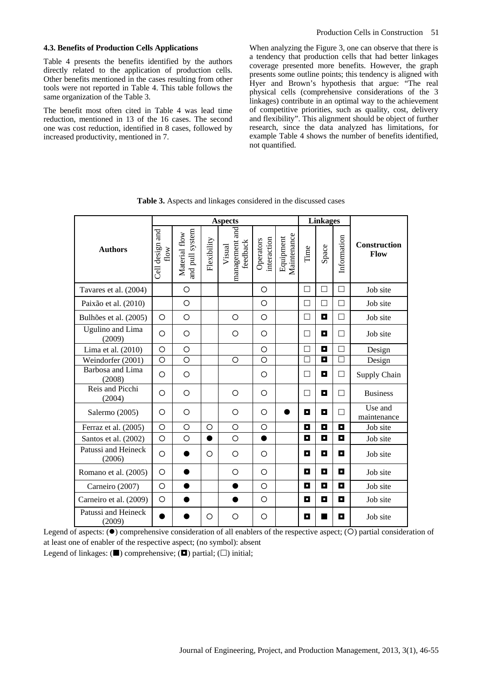## **4.3. Benefits of Production Cells Applications**

Table 4 presents the benefits identified by the authors directly related to the application of production cells. Other benefits mentioned in the cases resulting from other tools were not reported in Table 4. This table follows the same organization of the Table 3.

The benefit most often cited in Table 4 was lead time reduction, mentioned in 13 of the 16 cases. The second one was cost reduction, identified in 8 cases, followed by increased productivity, mentioned in 7.

When analyzing the Figure 3, one can observe that there is a tendency that production cells that had better linkages coverage presented more benefits. However, the graph presents some outline points; this tendency is aligned with Hyer and Brown's hypothesis that argue: "The real physical cells (comprehensive considerations of the 3 linkages) contribute in an optimal way to the achievement of competitive priorities, such as quality, cost, delivery and flexibility". This alignment should be object of further research, since the data analyzed has limitations, for example Table 4 shows the number of benefits identified, not quantified.

|                               |                         |                                  |             | <b>Aspects</b>                       |                          | <b>Linkages</b>          |        |       |             |                        |
|-------------------------------|-------------------------|----------------------------------|-------------|--------------------------------------|--------------------------|--------------------------|--------|-------|-------------|------------------------|
| <b>Authors</b>                | Cell design and<br>flow | and pull system<br>Material flow | Flexibility | management and<br>feedback<br>Visual | interaction<br>Operators | Maintenance<br>Equipment | Time   | Space | Information | Construction<br>Flow   |
| Tavares et al. (2004)         |                         | $\circ$                          |             |                                      | O                        |                          | $\Box$ | □     | $\Box$      | Job site               |
| Paixão et al. (2010)          |                         | O                                |             |                                      | $\circ$                  |                          | П      | П     | П           | Job site               |
| Bulhões et al. (2005)         | O                       | O                                |             | O                                    | O                        |                          | П      | о     | $\Box$      | Job site               |
| Ugulino and Lima<br>(2009)    | O                       | O                                |             | O                                    | O                        |                          | П      | о     | $\Box$      | Job site               |
| Lima et al. (2010)            | O                       | O                                |             |                                      | $\circ$                  |                          | П      | O     | П           | Design                 |
| Weindorfer (2001)             | O                       | O                                |             | O                                    | O                        |                          | П      | O     | П           | Design                 |
| Barbosa and Lima<br>(2008)    | O                       | O                                |             |                                      | O                        |                          | П      | О     | $\Box$      | Supply Chain           |
| Reis and Picchi<br>(2004)     | O                       | O                                |             | O                                    | O                        |                          | П      | о     | П           | <b>Business</b>        |
| Salermo (2005)                | O                       | O                                |             | O                                    | O                        |                          | O      | П     | Ш           | Use and<br>maintenance |
| Ferraz et al. (2005)          | $\circ$                 | O                                | $\circ$     | $\circ$                              | O                        |                          | О      | O     | О           | Job site               |
| Santos et al. (2002)          | $\circ$                 | $\circ$                          | $\bullet$   | $\circ$                              | $\bullet$                |                          | О      | O     | О           | Job site               |
| Patussi and Heineck<br>(2006) | O                       |                                  | $\circ$     | $\circ$                              | O                        |                          | O      | O     | O           | Job site               |
| Romano et al. (2005)          | O                       |                                  |             | O                                    | O                        |                          | O      | о     | O           | Job site               |
| Carneiro (2007)               | O                       |                                  |             |                                      | O                        |                          | О      | O     | O           | Job site               |
| Carneiro et al. (2009)        | O                       |                                  |             |                                      | O                        |                          | O      | O     | O           | Job site               |
| Patussi and Heineck<br>(2009) |                         |                                  | O           | $\circ$                              | O                        |                          | O      | ٠     | O           | Job site               |

**Table 3.** Aspects and linkages considered in the discussed cases

Legend of aspects:  $(\bullet)$  comprehensive consideration of all enablers of the respective aspect;  $(O)$  partial consideration of at least one of enabler of the respective aspect; (no symbol): absent Legend of linkages:  $(\blacksquare)$  comprehensive;  $(\blacksquare)$  partial;  $(\square)$  initial;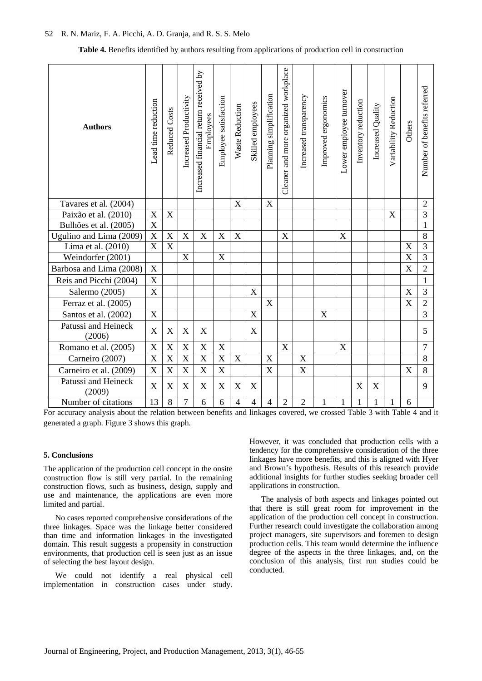#### 52 R. N. Mariz, F. A. Picchi, A. D. Granja, and R. S. S. Melo

**Table 4.** Benefits identified by authors resulting from applications of production cell in construction

| <b>Authors</b>                | Lead time reduction       | Reduced Costs             | Increased Productivity | Increased financial return received by<br>Employees | Employee satisfaction | Waste Reduction | Skilled employees | Planning simplification | Cleaner and more organized workplace | Increased transparency | Improved ergonomics | Lower employee turnover | Inventory reduction | Increased Quality | Variability Reduction | Others                    | Number of benefits referred |
|-------------------------------|---------------------------|---------------------------|------------------------|-----------------------------------------------------|-----------------------|-----------------|-------------------|-------------------------|--------------------------------------|------------------------|---------------------|-------------------------|---------------------|-------------------|-----------------------|---------------------------|-----------------------------|
| Tavares et al. (2004)         |                           |                           |                        |                                                     |                       | X               |                   | $\boldsymbol{X}$        |                                      |                        |                     |                         |                     |                   |                       |                           | $\overline{2}$              |
| Paixão et al. (2010)          | X                         | $\boldsymbol{\mathrm{X}}$ |                        |                                                     |                       |                 |                   |                         |                                      |                        |                     |                         |                     |                   | $\mathbf X$           |                           | $\overline{3}$              |
| Bulhões et al. (2005)         | $\mathbf X$               |                           |                        |                                                     |                       |                 |                   |                         |                                      |                        |                     |                         |                     |                   |                       |                           | $\mathbf{1}$                |
| Ugulino and Lima (2009)       | $\mathbf X$               | $\mathbf X$               | $\mathbf X$            | $\boldsymbol{X}$                                    | $\mathbf X$           | $\mathbf X$     |                   |                         | $\mathbf X$                          |                        |                     | $\mathbf X$             |                     |                   |                       |                           | 8                           |
| Lima et al. (2010)            | $\overline{\text{X}}$     | $\overline{\mathbf{X}}$   |                        |                                                     |                       |                 |                   |                         |                                      |                        |                     |                         |                     |                   |                       | X                         | $\overline{3}$              |
| Weindorfer (2001)             |                           |                           | $\mathbf X$            |                                                     | $\mathbf X$           |                 |                   |                         |                                      |                        |                     |                         |                     |                   |                       | X                         | $\overline{3}$              |
| Barbosa and Lima (2008)       | $\mathbf X$               |                           |                        |                                                     |                       |                 |                   |                         |                                      |                        |                     |                         |                     |                   |                       | $\boldsymbol{\mathrm{X}}$ | $\overline{2}$              |
| Reis and Picchi (2004)        | $\mathbf X$               |                           |                        |                                                     |                       |                 |                   |                         |                                      |                        |                     |                         |                     |                   |                       |                           | $\mathbf{1}$                |
| Salermo (2005)                | $\mathbf X$               |                           |                        |                                                     |                       |                 | $\mathbf X$       |                         |                                      |                        |                     |                         |                     |                   |                       | $\mathbf X$               | $\overline{3}$              |
| Ferraz et al. (2005)          |                           |                           |                        |                                                     |                       |                 |                   | $\mathbf X$             |                                      |                        |                     |                         |                     |                   |                       | $\boldsymbol{\mathrm{X}}$ | $\overline{2}$              |
| Santos et al. (2002)          | $\mathbf X$               |                           |                        |                                                     |                       |                 | $\mathbf X$       |                         |                                      |                        | $\mathbf X$         |                         |                     |                   |                       |                           | $\overline{3}$              |
| Patussi and Heineck<br>(2006) | $\boldsymbol{\mathrm{X}}$ | X                         | $\mathbf X$            | $\boldsymbol{\mathrm{X}}$                           |                       |                 | $\mathbf X$       |                         |                                      |                        |                     |                         |                     |                   |                       |                           | 5                           |
| Romano et al. (2005)          | X                         | X                         | $\mathbf X$            | X                                                   | $\mathbf X$           |                 |                   |                         | $\boldsymbol{X}$                     |                        |                     | X                       |                     |                   |                       |                           | $\overline{7}$              |
| Carneiro (2007)               | $\mathbf X$               | $\boldsymbol{\mathrm{X}}$ | $\mathbf X$            | $\mathbf X$                                         | $\mathbf X$           | $\mathbf X$     |                   | $\mathbf X$             |                                      | $\mathbf X$            |                     |                         |                     |                   |                       |                           | $8\,$                       |
| Carneiro et al. (2009)        | $\overline{X}$            | X                         | $\mathbf X$            | X                                                   | $\mathbf X$           |                 |                   | $\mathbf X$             |                                      | $\mathbf X$            |                     |                         |                     |                   |                       | $\boldsymbol{\mathrm{X}}$ | 8                           |
| Patussi and Heineck<br>(2009) | X                         | X                         | X                      | $\boldsymbol{\mathrm{X}}$                           | $\mathbf X$           | X               | X                 |                         |                                      |                        |                     |                         | $\boldsymbol{X}$    | X                 |                       |                           | 9                           |
| Number of citations           | 13                        | 8                         | $\overline{7}$         | 6                                                   | 6                     | $\overline{4}$  | $\overline{4}$    | $\overline{4}$          | $\overline{2}$                       | $\overline{2}$         | 1                   | 1                       | 1                   | 1                 | $\mathbf{1}$          | 6                         |                             |

For accuracy analysis about the relation between benefits and linkages covered, we crossed Table 3 with Table 4 and it generated a graph. Figure 3 shows this graph.

# **5. Conclusions**

The application of the production cell concept in the onsite construction flow is still very partial. In the remaining construction flows, such as business, design, supply and use and maintenance, the applications are even more limited and partial.

No cases reported comprehensive considerations of the three linkages. Space was the linkage better considered than time and information linkages in the investigated domain. This result suggests a propensity in construction environments, that production cell is seen just as an issue of selecting the best layout design.

We could not identify a real physical cell implementation in construction cases under study. However, it was concluded that production cells with a tendency for the comprehensive consideration of the three linkages have more benefits, and this is aligned with Hyer and Brown's hypothesis. Results of this research provide additional insights for further studies seeking broader cell applications in construction.

The analysis of both aspects and linkages pointed out that there is still great room for improvement in the application of the production cell concept in construction. Further research could investigate the collaboration among project managers, site supervisors and foremen to design production cells. This team would determine the influence degree of the aspects in the three linkages, and, on the conclusion of this analysis, first run studies could be conducted.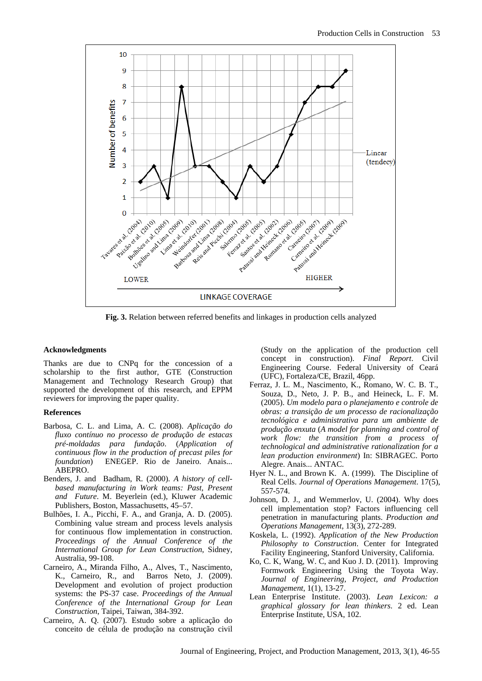

**Fig. 3.** Relation between referred benefits and linkages in production cells analyzed

#### **Acknowledgments**

Thanks are due to CNPq for the concession of a scholarship to the first author, GTE (Construction Management and Technology Research Group) that supported the development of this research, and EPPM reviewers for improving the paper quality.

## **References**

- Barbosa, C. L. and Lima, A. C. (2008). *Aplicação do fluxo contínuo no processo de produção de estacas pré-moldadas para fundação*. (*Application of continuous flow in the production of precast piles for foundation*) ENEGEP. Rio de Janeiro. Anais... ABEPRO.
- Benders, J. and Badham, R. (2000). *A history of cellbased manufacturing in Work teams: Past, Present and Future*. M. Beyerlein (ed.), Kluwer Academic Publishers, Boston, Massachusetts, 45–57.
- Bulhões, I. A., Picchi, F. A., and Granja, A. D. (2005). Combining value stream and process levels analysis for continuous flow implementation in construction. *Proceedings of the Annual Conference of the International Group for Lean Construction*, Sidney, Australia, 99-108.
- Carneiro, A., Miranda Filho, A., Alves, T., Nascimento, K., Carneiro, R., and Barros Neto, J. (2009). Development and evolution of project production systems: the PS-37 case. *Proceedings of the Annual Conference of the International Group for Lean Construction*, Taipei, Taiwan, 384-392.
- Carneiro, A. Q. (2007). Estudo sobre a aplicação do conceito de célula de produção na construção civil

(Study on the application of the production cell concept in construction). *Final Report*. Civil Engineering Course. Federal University of Ceará (UFC), Fortaleza/CE, Brazil, 46pp.

- Ferraz, J. L. M., Nascimento, K., Romano, W. C. B. T., Souza, D., Neto, J. P. B., and Heineck, L. F. M. (2005). *Um modelo para o planejamento e controle de obras: a transição de um processo de racionalização tecnológica e administrativa para um ambiente de produção enxuta* (*A model for planning and control of work flow: the transition from a process of technological and administrative rationalization for a lean production environment*) In: SIBRAGEC. Porto Alegre. Anais... ANTAC.
- Hyer N. L., and Brown K. A. (1999). The Discipline of Real Cells. *Journal of Operations Management*. 17(5), 557-574.
- Johnson, D. J., and Wemmerlov, U. (2004). Why does cell implementation stop? Factors influencing cell penetration in manufacturing plants. *Production and Operations Management*, 13(3), 272-289.
- Koskela, L. (1992). *Application of the New Production Philosophy to Construction*. Center for Integrated Facility Engineering, Stanford University, California.
- Ko, C. K, Wang, W. C, and Kuo J. D. (2011). Improving Formwork Engineering Using the Toyota Way. *Journal of Engineering, Project, and Production Management*, 1(1), 13-27.
- Lean Enterprise Institute. (2003). *Lean Lexicon: a graphical glossary for lean thinkers*. 2 ed. Lean Enterprise Institute, USA, 102.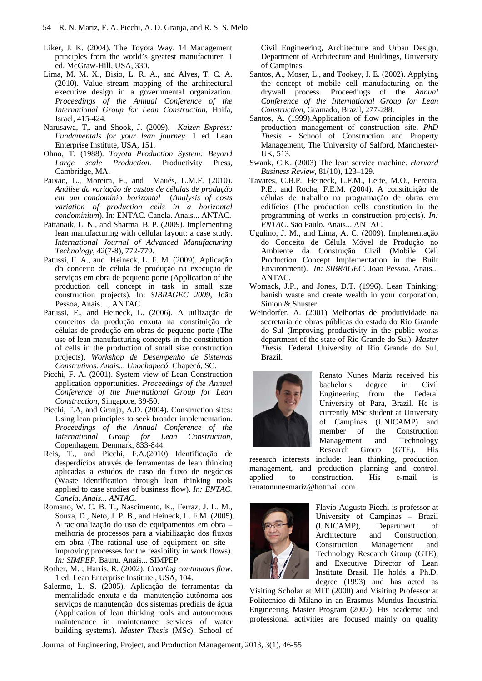- Liker, J. K. (2004). The Toyota Way. 14 Management principles from the world's greatest manufacturer. 1 ed. McGraw-Hill, USA, 330.
- Lima, M. M. X., Bisio, L. R. A., and Alves, T. C. A. (2010). Value stream mapping of the architectural executive design in a governmental organization. *Proceedings of the Annual Conference of the International Group for Lean Construction*, Haifa, Israel, 415-424.
- Narusawa, T,. and Shook, J. (2009). *Kaizen Express: Fundamentals for your lean journey*. 1 ed. Lean Enterprise Institute, USA, 151.
- Ohno, T. (1988). *Toyota Production System: Beyond Large scale Production*. Productivity Press, Cambridge, MA.
- Paixão, L., Moreira, F., and Maués, L.M.F. (2010). *Análise da variação de custos de células de produção em um condomínio horizontal* (*Analysis of costs variation of production cells in a horizontal condominium*). In: ENTAC. Canela. Anais... ANTAC.
- Pattanaik, L. N., and Sharma, B. P. (2009). Implementing lean manufacturing with cellular layout: a case study. *International Journal of Advanced Manufacturing Technology*, 42(7-8), 772-779.
- Patussi, F. A., and Heineck, L. F. M. (2009). Aplicação do conceito de célula de produção na execução de serviços em obra de pequeno porte (Application of the production cell concept in task in small size construction projects). In: *SIBRAGEC 2009*, João Pessoa, Anais…, ANTAC.
- Patussi, F., and Heineck, L. (2006). A utilização de conceitos da produção enxuta na constituição de células de produção em obras de pequeno porte (The use of lean manufacturing concepts in the constitution of cells in the production of small size construction projects). *Workshop de Desempenho de Sistemas Construtivos. Anais... Unochapecó*: Chapecó, SC.
- Picchi, F. A. (2001). System view of Lean Construction application opportunities. *Proceedings of the Annual Conference of the International Group for Lean Construction*, Singapore, 39-50.
- Picchi, F.A, and Granja, A.D. (2004). Construction sites: Using lean principles to seek broader implementation. *Proceedings of the Annual Conference of the International Group for Lean Construction*, Copenhagem, Denmark, 833-844.
- Reis, T., and Picchi, F.A.(2010) Identificação de desperdícios através de ferramentas de lean thinking aplicadas a estudos de caso do fluxo de negócios (Waste identification through lean thinking tools applied to case studies of business flow). *In: ENTAC. Canela. Anais... ANTAC*.
- Romano, W. C. B. T., Nascimento, K., Ferraz, J. L. M., Souza, D., Neto, J. P. B., and Heineck, L. F.M. (2005). A racionalização do uso de equipamentos em obra – melhoria de processos para a viabilização dos fluxos em obra (The rational use of equipment on site improving processes for the feasibility in work flows). *In: SIMPEP*. Bauru. Anais... SIMPEP.
- Rother, M. ; Harris, R. (2002). *Creating continuous flow*. 1 ed. Lean Enterprise Institute., USA, 104.
- Salermo, L. S. (2005). Aplicação de ferramentas da mentalidade enxuta e da manutenção autônoma aos serviços de manutenção dos sistemas prediais de água (Application of lean thinking tools and autonomous maintenance in maintenance services of water building systems). *Master Thesis* (MSc). School of

Civil Engineering, Architecture and Urban Design, Department of Architecture and Buildings, University of Campinas.

- Santos, A., Moser, L., and Tookey, J. E. (2002). Applying the concept of mobile cell manufacturing on the drywall process. Proceedings of the *Annual Conference of the International Group for Lean Construction*, Gramado, Brazil, 277-288.
- Santos, A. (1999).Application of flow principles in the production management of construction site. *PhD Thesis* - School of Construction and Property Management, The University of Salford, Manchester-UK, 513.
- Swank, C.K. (2003) The lean service machine. *Harvard Business Review*, 81(10), 123–129.
- Tavares, C.B.P., Heineck, L.F.M., Leite, M.O., Pereira, P.E., and Rocha, F.E.M. (2004). A constituição de células de trabalho na programação de obras em edifícios (The production cells constitution in the programming of works in construction projects). *In: ENTAC*. São Paulo. Anais... ANTAC.
- Ugulino, J. M., and Lima, A. C. (2009). Implementação do Conceito de Célula Móvel de Produção no Ambiente da Construção Civil (Mobile Cell Production Concept Implementation in the Built Environment). *In: SIBRAGEC*. João Pessoa. Anais... ANTAC.
- Womack, J.P., and Jones, D.T. (1996). Lean Thinking: banish waste and create wealth in your corporation, Simon & Shuster.
- Weindorfer, A. (2001) Melhorias de produtividade na secretaria de obras públicas do estado do Rio Grande do Sul (Improving productivity in the public works department of the state of Rio Grande do Sul). *Master Thesis*. Federal University of Rio Grande do Sul, Brazil.



Renato Nunes Mariz received his bachelor's degree in Civil Engineering from the Federal University of Para, Brazil. He is currently MSc student at University of Campinas (UNICAMP) and member of the Construction Management and Technology Research Group (GTE). His

research interests include: lean thinking, production management, and production planning and control, applied to construction. His e-mail is renatonunesmariz@hotmail.com.



Flavio Augusto Picchi is professor at University of Campinas – Brazil (UNICAMP), Department of Architecture and Construction, Construction Management and Technology Research Group (GTE), and Executive Director of Lean Institute Brasil. He holds a Ph.D. degree (1993) and has acted as

Visiting Scholar at MIT (2000) and Visiting Professor at Politecnico di Milano in an Erasmus Mundus Industrial Engineering Master Program (2007). His academic and professional activities are focused mainly on quality

Journal of Engineering, Project, and Production Management, 2013, 3(1), 46-55